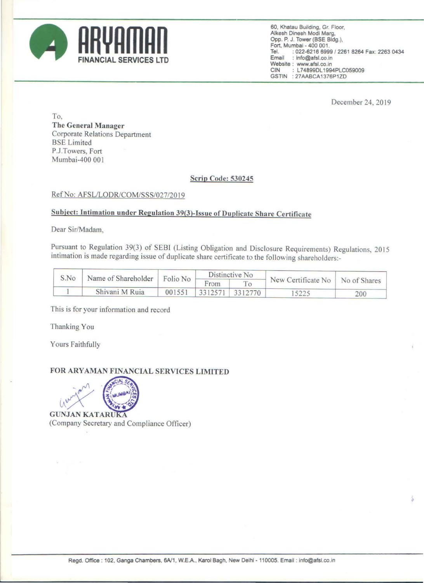

**60, Khatau Building. Gr. Floor, AIkesh Dinesh Modi Marg,**  Opp. P. J. Tower (BSE Bldg.), Fort, Mumbai - 400 001.<br>Tel : 022-6216 699 Tel. : 022-6216 6999 / 2261 8264 Fax: 2263 0434<br>Email : info@afsl.co.in : info@afsl.co.in Website: www.afsl.co.in<br>CIN: L74899DL1994 L74899DL1994PLC059009 GSTIN : 27AABCA1376P1Z0

December 24, 2019

•

To, The General Manager Corporate Relations Department BSE Limited P.J.Towers, Fort Mumbai-400 00 I

## Scrip Code: 530245

## Ref No: AFSL/LODR/COM/SSS/027/2019

## Subject: Intimation under Regulation 39(3)-Issue of Duplicate Share Certificate

Dear Sir/Madam,

Pursuant to Regulation 39(3) of SEBI (Listing Obligation and Disclosure Requirements) Regulations, 2015 intimation is made regarding issue of duplicate share certificate to the following shareholders:-

| S.No | Name of Shareholder   Folio No |        | Distinctive No. |                   |                                 |     |  |
|------|--------------------------------|--------|-----------------|-------------------|---------------------------------|-----|--|
|      |                                |        | $\Gamma$ rom    |                   | New Certificate No No of Shares |     |  |
|      | Shivani M Ruia                 | 001551 |                 | $3312571$ 3312770 |                                 | 200 |  |

This is for your information and record

Thanking You

Yours Faithfully

## FOR ARY AMAN FINANCIAL SERVICES LIMITED

**GUNJAN KATARUKA** (Company Secretary and Compliance Officer)